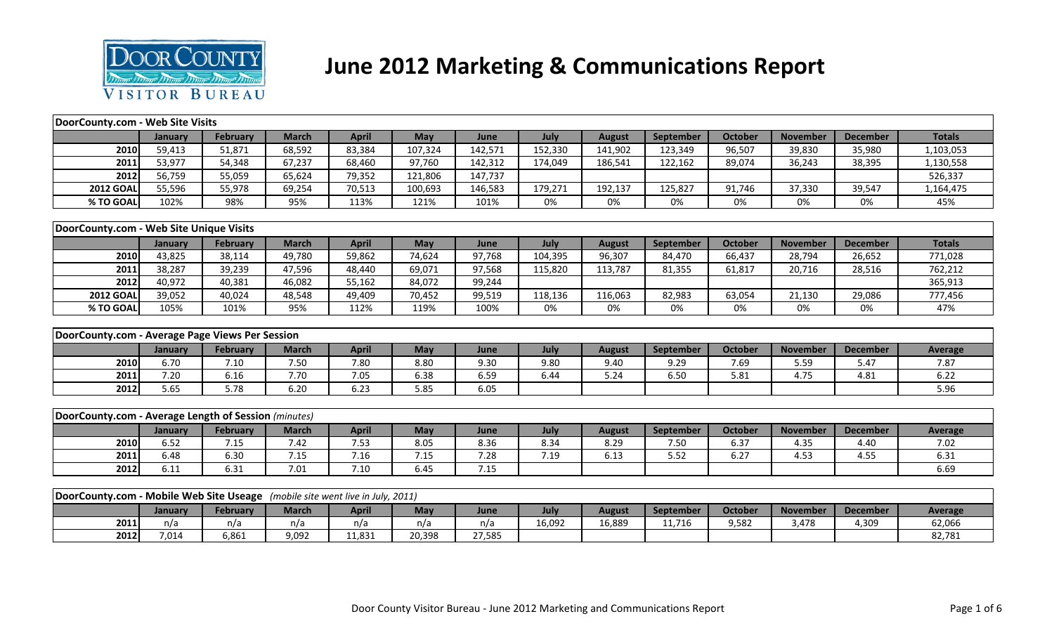

## **June 2012 Marketing & Communications Report**

| DoorCounty.com - Web Site Visits                                              |         |                 |              |              |         |         |         |               |           |                |                 |                 |                |
|-------------------------------------------------------------------------------|---------|-----------------|--------------|--------------|---------|---------|---------|---------------|-----------|----------------|-----------------|-----------------|----------------|
|                                                                               | January | <b>February</b> | <b>March</b> | <b>April</b> | May     | June    | July    | <b>August</b> | September | <b>October</b> | <b>November</b> | <b>December</b> | <b>Totals</b>  |
| 2010                                                                          | 59,413  | 51,871          | 68,592       | 83,384       | 107,324 | 142,571 | 152,330 | 141,902       | 123,349   | 96,507         | 39,830          | 35,980          | 1,103,053      |
| 2011                                                                          | 53,977  | 54,348          | 67,237       | 68,460       | 97,760  | 142,312 | 174,049 | 186,541       | 122,162   | 89,074         | 36,243          | 38,395          | 1,130,558      |
| 2012                                                                          | 56,759  | 55,059          | 65,624       | 79,352       | 121,806 | 147,737 |         |               |           |                |                 |                 | 526,337        |
| <b>2012 GOAL</b>                                                              | 55,596  | 55,978          | 69,254       | 70,513       | 100,693 | 146,583 | 179,271 | 192,137       | 125,827   | 91,746         | 37,330          | 39,547          | 1,164,475      |
| % TO GOAL                                                                     | 102%    | 98%             | 95%          | 113%         | 121%    | 101%    | 0%      | 0%            | 0%        | 0%             | 0%              | 0%              | 45%            |
|                                                                               |         |                 |              |              |         |         |         |               |           |                |                 |                 |                |
| DoorCounty.com - Web Site Unique Visits                                       |         |                 |              |              |         |         |         |               |           |                |                 |                 |                |
|                                                                               | January | February        | <b>March</b> | <b>April</b> | May     | June    | July    | <b>August</b> | September | <b>October</b> | <b>November</b> | <b>December</b> | <b>Totals</b>  |
| 2010                                                                          | 43,825  | 38,114          | 49,780       | 59,862       | 74,624  | 97,768  | 104,395 | 96,307        | 84,470    | 66,437         | 28,794          | 26,652          | 771,028        |
| 2011                                                                          | 38,287  | 39,239          | 47,596       | 48,440       | 69,071  | 97,568  | 115,820 | 113,787       | 81,355    | 61,817         | 20,716          | 28,516          | 762,212        |
| 2012                                                                          | 40,972  | 40,381          | 46,082       | 55,162       | 84,072  | 99,244  |         |               |           |                |                 |                 | 365,913        |
| <b>2012 GOAL</b>                                                              | 39,052  | 40,024          | 48,548       | 49,409       | 70,452  | 99,519  | 118,136 | 116,063       | 82,983    | 63,054         | 21,130          | 29,086          | 777,456        |
| % TO GOAL                                                                     | 105%    | 101%            | 95%          | 112%         | 119%    | 100%    | 0%      | 0%            | 0%        | 0%             | 0%              | 0%              | 47%            |
|                                                                               |         |                 |              |              |         |         |         |               |           |                |                 |                 |                |
| DoorCounty.com - Average Page Views Per Session                               |         |                 |              |              |         |         |         |               |           |                |                 |                 |                |
|                                                                               | January | February        | <b>March</b> | <b>April</b> | May     | June    | July    | <b>August</b> | September | <b>October</b> | <b>November</b> | <b>December</b> | <b>Average</b> |
| 2010                                                                          | 6.70    | 7.10            | 7.50         | 7.80         | 8.80    | 9.30    | 9.80    | 9.40          | 9.29      | 7.69           | 5.59            | 5.47            | 7.87           |
| 2011                                                                          | 7.20    | 6.16            | 7.70         | 7.05         | 6.38    | 6.59    | 6.44    | 5.24          | 6.50      | 5.81           | 4.75            | 4.81            | 6.22           |
| 2012                                                                          | 5.65    | 5.78            | 6.20         | 6.23         | 5.85    | 6.05    |         |               |           |                |                 |                 | 5.96           |
|                                                                               |         |                 |              |              |         |         |         |               |           |                |                 |                 |                |
| DoorCounty.com - Average Length of Session (minutes)                          |         |                 |              |              |         |         |         |               |           |                |                 |                 |                |
|                                                                               | January | <b>February</b> | <b>March</b> | <b>April</b> | May     | June    | July    | <b>August</b> | September | <b>October</b> | <b>November</b> | <b>December</b> | <b>Average</b> |
| 2010                                                                          | 6.52    | 7.15            | 7.42         | 7.53         | 8.05    | 8.36    | 8.34    | 8.29          | 7.50      | 6.37           | 4.35            | 4.40            | 7.02           |
| 2011                                                                          | 6.48    | 6.30            | 7.15         | 7.16         | 7.15    | 7.28    | 7.19    | 6.13          | 5.52      | 6.27           | 4.53            | 4.55            | 6.31           |
| 2012                                                                          | 6.11    | 6.31            | 7.01         | 7.10         | 6.45    | 7.15    |         |               |           |                |                 |                 | 6.69           |
|                                                                               |         |                 |              |              |         |         |         |               |           |                |                 |                 |                |
| DoorCounty.com - Mobile Web Site Useage (mobile site went live in July, 2011) |         |                 |              |              |         |         |         |               |           |                |                 |                 |                |
|                                                                               | January | <b>February</b> | <b>March</b> | <b>April</b> | May     | June    | July    | <b>August</b> | September | <b>October</b> | <b>November</b> | <b>December</b> | <b>Average</b> |
| 2011                                                                          | n/a     | n/a             | n/a          | n/a          | n/a     | n/a     | 16,092  | 16,889        | 11,716    | 9,582          | 3,478           | 4,309           | 62,066         |
| 2012                                                                          | 7,014   | 6,861           | 9,092        | 11,831       | 20,398  | 27,585  |         |               |           |                |                 |                 | 82,781         |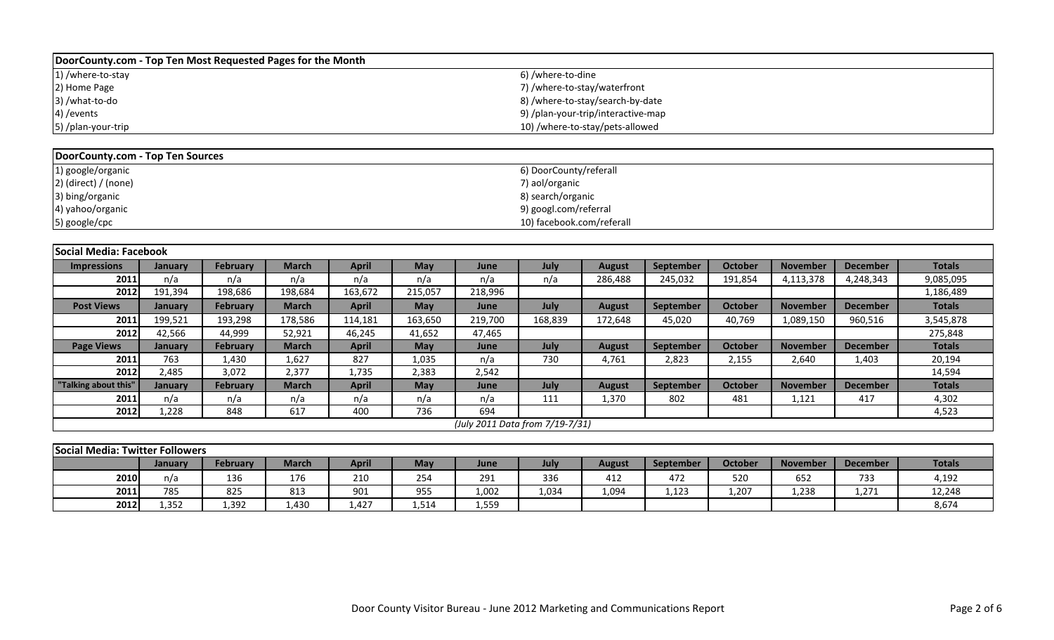| DoorCounty.com - Top Ten Most Requested Pages for the Month |                                    |
|-------------------------------------------------------------|------------------------------------|
| 1) /where-to-stay                                           | 6) /where-to-dine                  |
| 2) Home Page                                                | 7) /where-to-stay/waterfront       |
| 3) /what-to-do                                              | 8) /where-to-stay/search-by-date   |
| 4) / events                                                 | 9) /plan-your-trip/interactive-map |
| 5) /plan-your-trip                                          | 10) /where-to-stay/pets-allowed    |

| DoorCounty.com - Top Ten Sources |                           |
|----------------------------------|---------------------------|
| 1) google/organic                | 6) DoorCounty/referall    |
| $2)$ (direct) / (none)           | 7) aol/organic            |
| 3) bing/organic                  | 8) search/organic         |
| 4) yahoo/organic                 | 9) googl.com/referral     |
| 5) google/cpc                    | 10) facebook.com/referall |

| Social Media: Facebook |                |          |              |              |         |         |                                 |               |                  |                |                 |                 |               |
|------------------------|----------------|----------|--------------|--------------|---------|---------|---------------------------------|---------------|------------------|----------------|-----------------|-----------------|---------------|
| <b>Impressions</b>     | January        | February | <b>March</b> | <b>April</b> | May     | June    | July                            | <b>August</b> | September        | <b>October</b> | <b>November</b> | <b>December</b> | <b>Totals</b> |
| 2011                   | n/a            | n/a      | n/a          | n/a          | n/a     | n/a     | n/a                             | 286,488       | 245,032          | 191,854        | 4,113,378       | 4,248,343       | 9,085,095     |
| 2012                   | 191,394        | 198,686  | 198,684      | 163,672      | 215,057 | 218,996 |                                 |               |                  |                |                 |                 | 1,186,489     |
| <b>Post Views</b>      | January        | February | <b>March</b> | <b>April</b> | May     | June    | July                            | <b>August</b> | September        | <b>October</b> | <b>November</b> | <b>December</b> | <b>Totals</b> |
| 2011                   | 199,521        | 193,298  | 178,586      | 114,181      | 163,650 | 219,700 | 168,839                         | 172,648       | 45,020           | 40,769         | 1,089,150       | 960,516         | 3,545,878     |
| 2012                   | 42,566         | 44,999   | 52,921       | 46,245       | 41,652  | 47,465  |                                 |               |                  |                |                 |                 | 275,848       |
| <b>Page Views</b>      | <b>January</b> | February | <b>March</b> | <b>April</b> | May     | June    | July                            | <b>August</b> | <b>September</b> | October        | <b>November</b> | <b>December</b> | <b>Totals</b> |
| 2011                   | 763            | 1,430    | 1,627        | 827          | 1,035   | n/a     | 730                             | 4,761         | 2,823            | 2,155          | 2,640           | 1,403           | 20,194        |
| 2012                   | 2,485          | 3,072    | 2,377        | 1,735        | 2,383   | 2,542   |                                 |               |                  |                |                 |                 | 14,594        |
| "Talking about this"   | January        | February | <b>March</b> | <b>April</b> | May     | June    | July                            | <b>August</b> | <b>September</b> | <b>October</b> | <b>November</b> | <b>December</b> | <b>Totals</b> |
| 2011                   | n/a            | n/a      | n/a          | n/a          | n/a     | n/a     | 111                             | 1,370         | 802              | 481            | 1,121           | 417             | 4,302         |
| 2012                   | 1,228          | 848      | 617          | 400          | 736     | 694     |                                 |               |                  |                |                 |                 | 4,523         |
|                        |                |          |              |              |         |         | (July 2011 Data from 7/19-7/31) |               |                  |                |                 |                 |               |

|                                                                                                                                                                     | Social Media: Twitter Followers |       |       |     |       |       |       |       |       |       |       |       |        |  |
|---------------------------------------------------------------------------------------------------------------------------------------------------------------------|---------------------------------|-------|-------|-----|-------|-------|-------|-------|-------|-------|-------|-------|--------|--|
| <b>Totals</b><br><b>April</b><br>October<br>February<br>March<br>July<br>May<br><b>November</b><br>September<br><b>December</b><br><b>August</b><br>June<br>January |                                 |       |       |     |       |       |       |       |       |       |       |       |        |  |
| 2010                                                                                                                                                                | n/a                             | 136   | 176   | 210 | 254   | 291   | 336   | 412   | 472   | 520   | 652   | 733   | 4,192  |  |
| 2011                                                                                                                                                                | 785                             | 825   | 813   | 901 | 955   | 1,002 | 1,034 | 1,094 | 1,123 | 1,207 | 1,238 | 1,271 | 12,248 |  |
| 2012                                                                                                                                                                | 1.352                           | 1,392 | 1.430 | 427 | 1,514 | 1,559 |       |       |       |       |       |       | 8,674  |  |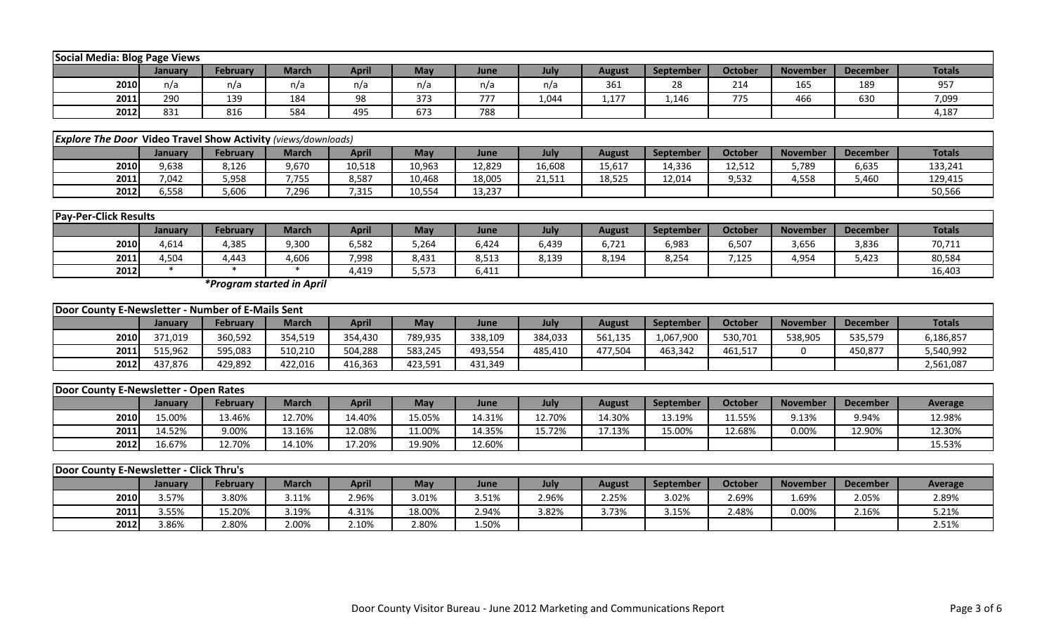|      | Social Media: Blog Page Views |          |       |       |     |      |       |               |           |         |                 |                 |               |
|------|-------------------------------|----------|-------|-------|-----|------|-------|---------------|-----------|---------|-----------------|-----------------|---------------|
|      | January                       | February | March | April | May | June | July  | <b>August</b> | September | October | <b>November</b> | <b>December</b> | <b>Totals</b> |
| 2010 | n/a                           | n/a      | n/a   | n/a   | n/a | n/a  | n/a   | 361           | 28        | 214     | 165             | 189             | 957           |
| 2011 | 290                           | 139      | 184   | 98    | 373 | 777  | 1,044 | 1,177         | 1,146     | 775     | 466             | 630             | 7,099         |
| 2012 | 831                           | 816      | 584   | 495   | 673 | 788  |       |               |           |         |                 |                 | 4,187         |

|                                                                                                                                                              | <b>Explore The Door Video Travel Show Activity (views/downloads)</b> |       |               |        |        |        |        |        |        |        |       |       |         |  |
|--------------------------------------------------------------------------------------------------------------------------------------------------------------|----------------------------------------------------------------------|-------|---------------|--------|--------|--------|--------|--------|--------|--------|-------|-------|---------|--|
| <b>Totals</b><br>April<br><b>October</b><br>May<br>February<br><b>November</b><br>March<br><b>December</b><br>July<br>September<br>August<br>June<br>Januarv |                                                                      |       |               |        |        |        |        |        |        |        |       |       |         |  |
| 2010                                                                                                                                                         | 9,638                                                                | 8,126 | 9,670         | 10,518 | 10,963 | 12,829 | 16,608 | 15,617 | 14,336 | 12,512 | 5,789 | 6,635 | 133,241 |  |
| 2011                                                                                                                                                         | 7,042                                                                | 5,958 | 7755<br>. . ، | 8,587  | 10,468 | 18,005 | 21,511 | 18,525 | 12,014 | 9,532  | 4,558 | 5,460 | 129,415 |  |
| 2012                                                                                                                                                         | 5.558                                                                | 5,606 | 7,296         | ,315   | 10,554 | 13,237 |        |        |        |        |       |       | 50,566  |  |

|      | <b>Pay-Per-Click Results</b> |          |              |       |       |       |       |        |                  |                |                 |                 |               |
|------|------------------------------|----------|--------------|-------|-------|-------|-------|--------|------------------|----------------|-----------------|-----------------|---------------|
|      | January                      | February | <b>March</b> | April | May   | June  | July  | August | <b>September</b> | <b>October</b> | <b>November</b> | <b>December</b> | <b>Totals</b> |
| 2010 | 4,614                        | 1,385    | 9,300        | 6,582 | 264,ز | 6,424 | 3,439 | 6,721  | 6,983            | 6,507          | 3,656           | 3,836           | 70,711        |
| 2011 | 4,504                        | ,443     | 4,606        | 7,998 | 8,431 | 8,513 | 8,139 | 8,194  | 8,254            | 7,125          | 4,954           | 5,423           | 80,584        |
| 2012 |                              |          |              | 4,419 | 5,573 | 6,411 |       |        |                  |                |                 |                 | 16,403        |

*\*Program started in April*

|      | Door County E-Newsletter - Number of E-Mails Sent |                 |              |              |         |         |         |               |           |         |                 |                 |               |
|------|---------------------------------------------------|-----------------|--------------|--------------|---------|---------|---------|---------------|-----------|---------|-----------------|-----------------|---------------|
|      | Januarv                                           | <b>February</b> | <b>March</b> | <b>April</b> | May     | June    | July    | <b>August</b> | September | October | <b>November</b> | <b>December</b> | <b>Totals</b> |
| 2010 | 371.019                                           | 360,592         | 354,519      | 354.430      | 789,935 | 338,109 | 384,033 | 561,135       | 1,067,900 | 530,701 | 538,905         | 535,579         | 6,186,857     |
| 2011 | 515.962                                           | 595,083         | 510,210      | 504,288      | 583,245 | 493,554 | 485,410 | 477.504       | 463.342   | 461,517 |                 | 450,877         | 5,540,992     |
| 2012 | 437.876                                           | 429,892         | 422.016      | 416,363      | 423,591 | 431,349 |         |               |           |         |                 |                 | 2,561,087     |

|      | Door County E-Newsletter - Open Rates |                 |        |        |        |        |        |        |           |                |          |                 |                |
|------|---------------------------------------|-----------------|--------|--------|--------|--------|--------|--------|-----------|----------------|----------|-----------------|----------------|
|      | January                               | <b>February</b> | March  | April  | May    | June   | July   | August | September | <b>October</b> | November | <b>December</b> | <b>Average</b> |
| 2010 | 5.00%                                 | 13.46%          | 12.70% | 14.40% | 15.05% | 14.31% | 12.70% | L4.30% | 13.19%    | 11.55%         | 9.13%    | 9.94%           | 12.98%         |
| 2011 | 4.52%                                 | 9.00%           | 13.16% | 12.08% | 1.00%  | 14.35% | 15.72% | L7.13% | 15.00%    | 12.68%         | 0.00%    | 12.90%          | 12.30%         |
| 2012 | 6.67%                                 | 12.70%          | 14.10% | 17.20% | 19.90% | 12.60% |        |        |           |                |          |                 | 15.53%         |

|      | <b>Door County E-Newsletter - Click Thru's</b> |                 |       |       |        |       |       |        |           |         |                 |                 |         |
|------|------------------------------------------------|-----------------|-------|-------|--------|-------|-------|--------|-----------|---------|-----------------|-----------------|---------|
|      | Januarv                                        | <b>February</b> | March | April | May    | June  | July  | August | September | October | <b>November</b> | <b>December</b> | Average |
| 2010 | 3.57%                                          | 3.80%           | 3.11% | 2.96% | 3.01%  | 3.51% | 2.96% | 2.25%  | 3.02%     | 2.69%   | 1.69%           | 2.05%           | 2.89%   |
| 2011 | 3.55%                                          | 5.20%           | 3.19% | 4.31% | 18.00% | 2.94% | 3.82% | 3.73%  | 3.15%     | 2.48%   | 0.00%           | 2.16%           | 5.21%   |
| 2012 | 3.86%                                          | 2.80%           | 2.00% | 2.10% | 2.80%  | 1.50% |       |        |           |         |                 |                 | 2.51%   |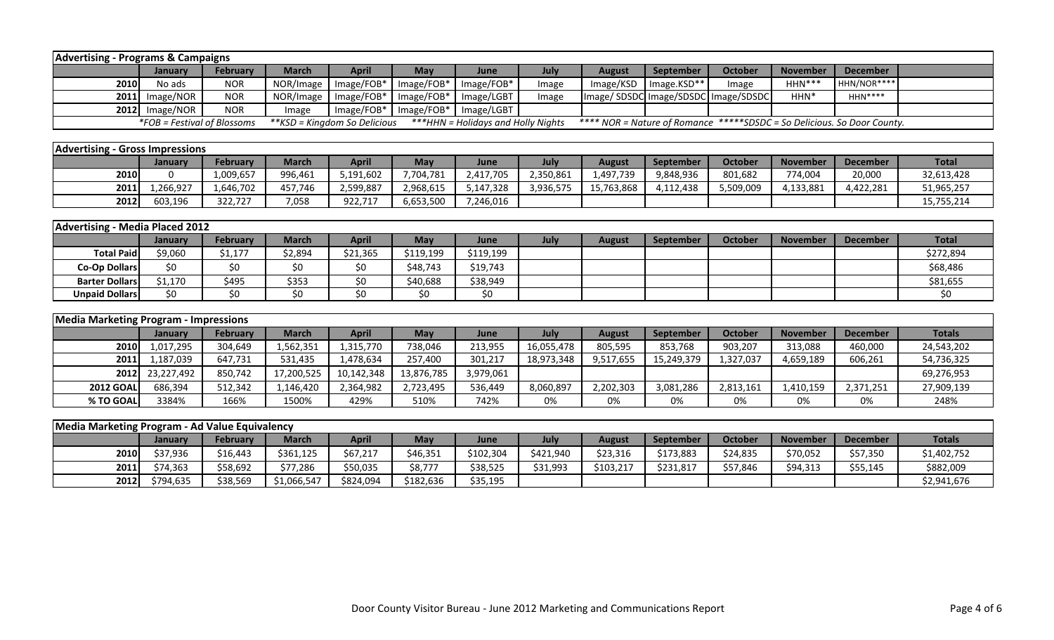|                                                                                                                                                                                     | <b>Advertising - Programs &amp; Campaigns</b> |                 |              |              |              |            |       |                                     |             |         |                 |                 |  |
|-------------------------------------------------------------------------------------------------------------------------------------------------------------------------------------|-----------------------------------------------|-----------------|--------------|--------------|--------------|------------|-------|-------------------------------------|-------------|---------|-----------------|-----------------|--|
|                                                                                                                                                                                     | <b>January</b>                                | <b>February</b> | <b>March</b> | <b>April</b> | <b>May</b>   | June       | July  | <b>August</b>                       | September   | October | <b>November</b> | <b>December</b> |  |
| 2010                                                                                                                                                                                | No ads                                        | NOR             | NOR/Image    | $Image/FOB*$ | $Image/FOB*$ | Image/FOB* | Image | Image/KSD                           | Image.KSD** | Image   | $HHN***$        | HHN/NOR****     |  |
|                                                                                                                                                                                     | $2011$ Image/NOR                              | <b>NOR</b>      | NOR/Image    | $Image/FOB*$ | $Image/FOB*$ | Image/LGBT | Image | Image/SDSDC Image/SDSDC Image/SDSDC |             |         | HHN*            | $HHN***$        |  |
|                                                                                                                                                                                     | $2012$ Image/NOR                              | <b>NOR</b>      | Image        | $Image/FOB*$ | $Image/FOB*$ | Image/LGBT |       |                                     |             |         |                 |                 |  |
| <i>*FOB = Festival of Blossoms</i><br>**KSD = Kingdom So Delicious<br>***HHN = Holidays and Holly Nights<br>**** NOR = Nature of Romance *****SDSDC = So Delicious. So Door County. |                                               |                 |              |              |              |            |       |                                     |             |         |                 |                 |  |
|                                                                                                                                                                                     |                                               |                 |              |              |              |            |       |                                     |             |         |                 |                 |  |

| <b>Advertising - Gross Impressions</b> |          |                 |              |              |           |           |           |            |                  |           |                 |                 |              |
|----------------------------------------|----------|-----------------|--------------|--------------|-----------|-----------|-----------|------------|------------------|-----------|-----------------|-----------------|--------------|
|                                        | Januarv  | <b>February</b> | <b>March</b> | <b>April</b> | May       | June      | July      | August     | <b>September</b> | October   | <b>November</b> | <b>December</b> | <b>Total</b> |
| 2010                                   |          | 1,009,657       | 996,461      | 5,191,602    | 7,704,781 | 2,417,705 | 2,350,861 | 1,497,739  | 9,848,936        | 801,682   | 74,004          | 20,000          | 32,613,428   |
| 2011                                   | .266.927 | 1.646.702       | 457,746      | 2.599.887    | 2,968,615 | 5,147,328 | 3,936,575 | 15,763,868 | 4,112,438        | 5,509,009 | ,133,881        | 4.422.281       | 51,965,257   |
| 2012                                   | 603.196  | 322.727         | 7,058        | 922,717      | 6,653,500 | 7,246,016 |           |            |                  |           |                 |                 | 15,755,214   |

| Advertising - Media Placed 2012 |                |          |         |              |            |           |      |        |           |                |                 |                 |              |
|---------------------------------|----------------|----------|---------|--------------|------------|-----------|------|--------|-----------|----------------|-----------------|-----------------|--------------|
|                                 | <b>January</b> | February | March   | <b>April</b> | <b>May</b> | June      | July | August | September | <b>October</b> | <b>November</b> | <b>December</b> | <b>Total</b> |
| <b>Total Paid</b>               | \$9,060        | \$1,177  | \$2,894 | \$21,365     | \$119,199  | \$119,199 |      |        |           |                |                 |                 | \$272,894    |
| <b>Co-Op Dollars</b>            | \$0            |          |         | \$0          | \$48,743   | \$19,743  |      |        |           |                |                 |                 | \$68,486     |
| <b>Barter Dollars</b>           | \$1,170        | \$495    | \$353   | ∩><br>υv     | \$40,688   | \$38,949  |      |        |           |                |                 |                 | \$81,655     |
| <b>Unpaid Dollars</b>           | \$0            |          |         | ¢∩           | S0         | SO.       |      |        |           |                |                 |                 |              |

|                  | Media Marketing Program - Impressions |                 |            |            |            |           |            |               |            |                |                 |                 |               |
|------------------|---------------------------------------|-----------------|------------|------------|------------|-----------|------------|---------------|------------|----------------|-----------------|-----------------|---------------|
|                  | January                               | <b>February</b> | March      | April      | May        | June      | July       | <b>August</b> | September  | <b>October</b> | <b>November</b> | <b>December</b> | <b>Totals</b> |
| 2010             | 1,017,295                             | 304,649         | .,562,351  | 1,315,770  | 738,046    | 213,955   | 16,055,478 | 805,595       | 853,768    | 903,207        | 313,088         | 460,000         | 24,543,202    |
| 2011             | .,187,039                             | 647,731         | 531,435    | 1,478,634  | 257,400    | 301,217   | 18,973,348 | 9,517,655     | 15,249,379 | 1,327,037      | 4,659,189       | 606,261         | 54,736,325    |
| 2012             | 23,227,492                            | 850.742         | 17,200,525 | 10,142,348 | 13,876,785 | 3,979,061 |            |               |            |                |                 |                 | 69,276,953    |
| <b>2012 GOAL</b> | 686,394                               | 512,342         | .,146,420  | 2,364,982  | 2,723,495  | 536,449   | 8,060,897  | 2,202,303     | 3,081,286  | 2,813,161      | 1,410,159       | 2,371,251       | 27,909,139    |
| % TO GOAL        | 3384%                                 | 166%            | 1500%      | 429%       | 510%       | 742%      | 0%         | 0%            | 0%         | 0%             | 0%              | 0%              | 248%          |

| Media Marketing Program - Ad Value Equivalency |           |                 |              |           |           |           |           |           |           |          |                 |          |               |
|------------------------------------------------|-----------|-----------------|--------------|-----------|-----------|-----------|-----------|-----------|-----------|----------|-----------------|----------|---------------|
|                                                | January   | <b>February</b> | <b>March</b> | April     | May       | June      | July      | August    | September | October  | <b>November</b> | December | <b>Totals</b> |
| 2010                                           | \$37,936  | \$16,443        | \$361,125    | \$67,217  | \$46,351  | \$102,304 | \$421,940 | \$23,316  | \$173,883 | \$24,835 | \$70,052        | \$57,350 | \$1,402,752   |
| 2011                                           | \$74,363  | \$58,692        | \$77,286     | \$50,035  | \$8,777   | \$38,525  | \$31,993  | \$103,217 | \$231,817 | \$57,846 | \$94,313        | \$55,145 | \$882,009     |
| 2012                                           | \$794.635 | \$38,569        | \$1,066,547  | \$824,094 | \$182,636 | \$35,195  |           |           |           |          |                 |          | \$2,941,676   |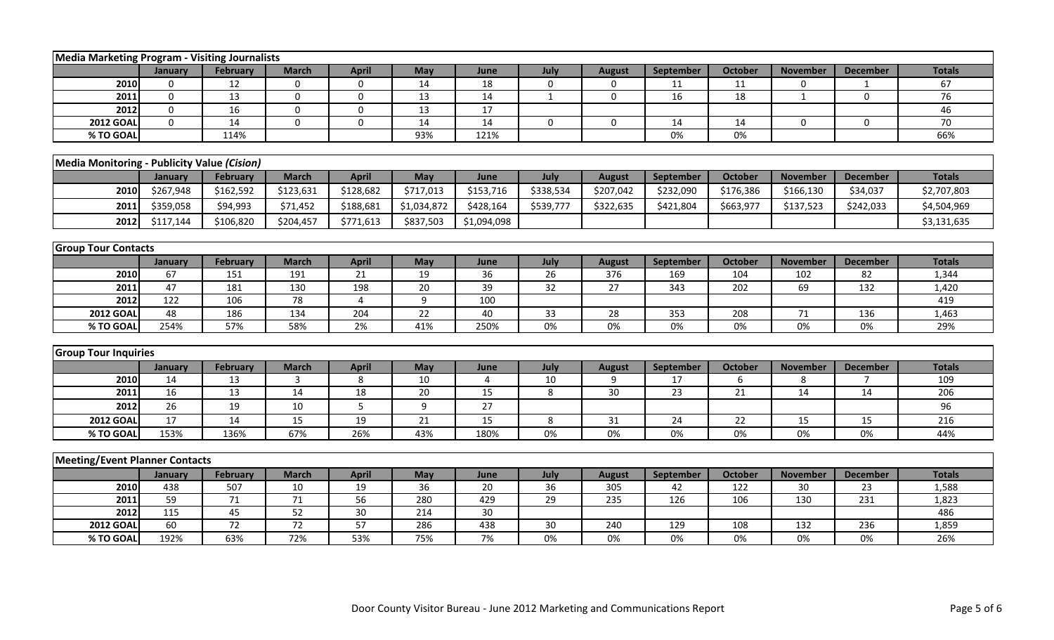|                                             | Media Marketing Program - Visiting Journalists |                 |                 |                 |             |                 |              |               |                  |                 |                 |                  |               |
|---------------------------------------------|------------------------------------------------|-----------------|-----------------|-----------------|-------------|-----------------|--------------|---------------|------------------|-----------------|-----------------|------------------|---------------|
|                                             | January                                        | February        | <b>March</b>    | <b>April</b>    | May         | June            | July         | <b>August</b> | <b>September</b> | <b>October</b>  | <b>November</b> | <b>December</b>  | <b>Totals</b> |
| 2010                                        | $\Omega$                                       | 12              | $\mathbf 0$     | $\mathbf 0$     | 14          | 18              | $\mathbf 0$  | 0             | 11               | 11              | 0               | $\mathbf{1}$     | 67            |
| 2011                                        | 0                                              | 13              | 0               | $\mathbf 0$     | 13          | 14              | $\mathbf{1}$ | 0             | 16               | 18              | $\mathbf{1}$    | $\boldsymbol{0}$ | 76            |
| 2012                                        | $\Omega$                                       | 16              | $\Omega$        | 0               | 13          | 17              |              |               |                  |                 |                 |                  | 46            |
| <b>2012 GOAL</b>                            | $\Omega$                                       | 14              | $\Omega$        | $\Omega$        | 14          | 14              | $\Omega$     | $\mathbf 0$   | 14               | 14              | $\Omega$        | $\mathbf 0$      | 70            |
| % TO GOAL                                   |                                                | 114%            |                 |                 | 93%         | 121%            |              |               | 0%               | $0\%$           |                 |                  | 66%           |
|                                             |                                                |                 |                 |                 |             |                 |              |               |                  |                 |                 |                  |               |
| Media Monitoring - Publicity Value (Cision) |                                                |                 |                 |                 |             |                 |              |               |                  |                 |                 |                  |               |
|                                             | January                                        | February        | <b>March</b>    | <b>April</b>    | <b>May</b>  | June            | July         | <b>August</b> | <b>September</b> | <b>October</b>  | <b>November</b> | <b>December</b>  | <b>Totals</b> |
| 2010                                        | \$267,948                                      | \$162,592       | \$123,631       | \$128,682       | \$717,013   | \$153,716       | \$338,534    | \$207,042     | \$232,090        | \$176,386       | \$166,130       | \$34,037         | \$2,707,803   |
| 2011                                        | \$359,058                                      | \$94,993        | \$71,452        | \$188,681       | \$1,034,872 | \$428,164       | \$539,777    | \$322,635     | \$421,804        | \$663,977       | \$137,523       | \$242,033        | \$4,504,969   |
| 2012                                        | \$117,144                                      | \$106,820       | \$204,457       | \$771,613       | \$837,503   | \$1,094,098     |              |               |                  |                 |                 |                  | \$3,131,635   |
|                                             |                                                |                 |                 |                 |             |                 |              |               |                  |                 |                 |                  |               |
| <b>Group Tour Contacts</b>                  |                                                |                 |                 |                 |             |                 |              |               |                  |                 |                 |                  |               |
|                                             | January                                        | <b>February</b> | <b>March</b>    | <b>April</b>    | May         | June            | July         | <b>August</b> | September        | <b>October</b>  | <b>November</b> | <b>December</b>  | <b>Totals</b> |
| 2010                                        | 67                                             | 151             | 191             | 21              | 19          | 36              | 26           | 376           | 169              | 104             | 102             | 82               | 1,344         |
| 2011                                        | 47                                             | 181             | 130             | 198             | 20          | 39              | 32           | 27            | 343              | 202             | 69              | 132              | 1,420         |
| 2012                                        | 122                                            | 106             | 78              | 4               | 9           | 100             |              |               |                  |                 |                 |                  | 419           |
| <b>2012 GOAL</b>                            | 48                                             | 186             | 134             | 204             | 22          | 40              | 33           | 28            | 353              | 208             | 71              | 136              | 1,463         |
| % TO GOAL                                   | 254%                                           | 57%             | 58%             | 2%              | 41%         | 250%            | $0\%$        | $0\%$         | $0\%$            | $0\%$           | $0\%$           | $0\%$            | 29%           |
|                                             |                                                |                 |                 |                 |             |                 |              |               |                  |                 |                 |                  |               |
| <b>Group Tour Inquiries</b>                 |                                                |                 |                 |                 |             |                 |              |               |                  |                 |                 |                  |               |
|                                             | January                                        | February        | <b>March</b>    | <b>April</b>    | May         | June            | July         | <b>August</b> | September        | <b>October</b>  | <b>November</b> | <b>December</b>  | <b>Totals</b> |
| 2010                                        | 14                                             | 13              | 3               | 8               | 10          | 4               | 10           | 9             | 17               | 6               | 8               | $\overline{7}$   | 109           |
| 2011                                        | 16                                             | 13              | 14              | 18              | 20          | 15              | 8            | 30            | 23               | 21              | 14              | 14               | 206           |
| 2012                                        | 26                                             | 19              | 10              | 5               | 9           | 27              |              |               |                  |                 |                 |                  | 96            |
| <b>2012 GOAL</b>                            | 17                                             | 14              | $\overline{15}$ | 19              | 21          | $\overline{15}$ | 8            | 31            | 24               | $\overline{22}$ | 15              | 15               | 216           |
| % TO GOAI                                   | 153%                                           | 136%            | 67%             | 26%             | 43%         | 180%            | 0%           | 0%            | 0%               | 0%              | 0%              | 0%               | 44%           |
|                                             |                                                |                 |                 |                 |             |                 |              |               |                  |                 |                 |                  |               |
| <b>Meeting/Event Planner Contacts</b>       |                                                |                 |                 |                 |             |                 |              |               |                  |                 |                 |                  |               |
|                                             | January                                        | February        | <b>March</b>    | <b>April</b>    | <b>May</b>  | June            | July         | <b>August</b> | September        | <b>October</b>  | <b>November</b> | <b>December</b>  | <b>Totals</b> |
| 2010<br>2011                                | 438<br>59                                      | 507<br>71       | 10<br>71        | 19<br>56        | 36          | 20<br>429       | 36<br>29     | 305           | 42               | 122<br>106      | 30              | 23<br>231        | 1,588         |
| 2012                                        | 115                                            | 45              | 52              | 30 <sup>°</sup> | 280<br>214  | 30              |              | 235           | 126              |                 | 130             |                  | 1,823<br>486  |
| <b>2012 GOAI</b>                            | 60                                             | 72              | 72              | 57              | 286         | 438             | 30           | 240           | 129              | 108             | 132             | 236              | 1,859         |
| % TO GOAI                                   | 192%                                           | 63%             | 72%             | 53%             | 75%         | 7%              | 0%           | 0%            | 0%               | 0%              | 0%              | 0%               | 26%           |
|                                             |                                                |                 |                 |                 |             |                 |              |               |                  |                 |                 |                  |               |